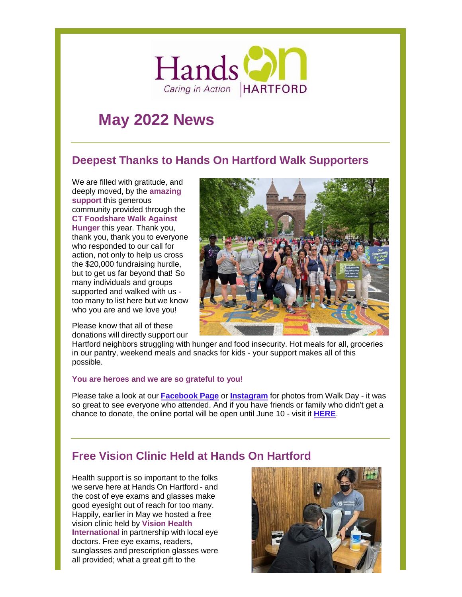

# **May 2022 News**

# **Deepest Thanks to Hands On Hartford Walk Supporters**

We are filled with gratitude, and deeply moved, by the **amazing support** this generous community provided through the **CT Foodshare Walk Against Hunger** this year. Thank you, thank you, thank you to everyone who responded to our call for action, not only to help us cross the \$20,000 fundraising hurdle, but to get us far beyond that! So many individuals and groups supported and walked with us too many to list here but we know who you are and we love you!

Please know that all of these donations will directly support our



Hartford neighbors struggling with hunger and food insecurity. Hot meals for all, groceries in our pantry, weekend meals and snacks for kids - your support makes all of this possible.

#### **You are heroes and we are so grateful to you!**

Please take a look at our **[Facebook](https://www.facebook.com/hands.on.hartford/posts/10160317884033846?__cft__%5B0%5D=AZW5jDYCjc_ZsfK52v_ujAl-ZkkPAIZqPg0wGUY4_xcqfKl1kcBq8lvUL6lhgbOFXKmCdGxrT3LNSnev-t9y74N-DWU2fmjxQ717zE1zuRFo9LbUGY0UP4ZxaaTbM_nTbJottY3FmLky8VMqfu6IhV1UXCj0ELQSSlVQANnOBysJ-onKZ2k38s-ZTaIU_PzKw08&__tn__=%2CO%2CP-R) Page** or **[Instagram](https://www.instagram.com/p/Cd6f3NiPdWT/?utm_source=ig_web_copy_link)** for photos from Walk Day - it was so great to see everyone who attended. And if you have friends or family who didn't get a chance to donate, the online portal will be open until June 10 - visit it **[HERE](https://p2p.onecause.com/ctfoodsharewalk/team/hands-on-hartford-friends-and-family)**.

# **Free Vision Clinic Held at Hands On Hartford**

Health support is so important to the folks we serve here at Hands On Hartford - and the cost of eye exams and glasses make good eyesight out of reach for too many. Happily, earlier in May we hosted a free vision clinic held by **Vision Health International** in partnership with local eye doctors. Free eye exams, readers, sunglasses and prescription glasses were all provided; what a great gift to the

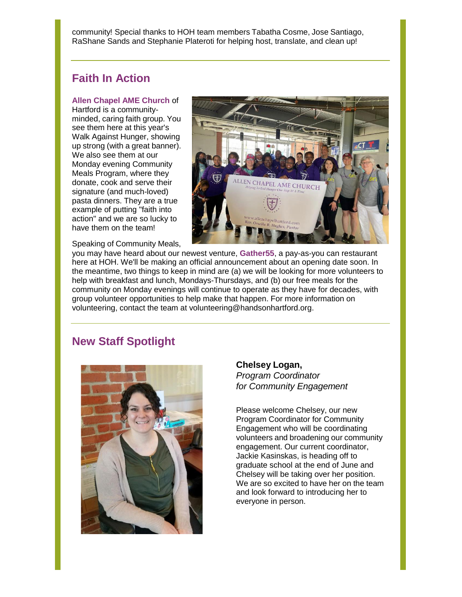community! Special thanks to HOH team members Tabatha Cosme, Jose Santiago, RaShane Sands and Stephanie Plateroti for helping host, translate, and clean up!

## **Faith In Action**

#### **Allen Chapel AME Church** of

Hartford is a communityminded, caring faith group. You see them here at this year's Walk Against Hunger, showing up strong (with a great banner). We also see them at our Monday evening Community Meals Program, where they donate, cook and serve their signature (and much-loved) pasta dinners. They are a true example of putting "faith into action" and we are so lucky to have them on the team!

Speaking of Community Meals,



you may have heard about our newest venture, **Gather55**, a pay-as-you can restaurant here at HOH. We'll be making an official announcement about an opening date soon. In the meantime, two things to keep in mind are (a) we will be looking for more volunteers to help with breakfast and lunch, Mondays-Thursdays, and (b) our free meals for the community on Monday evenings will continue to operate as they have for decades, with group volunteer opportunities to help make that happen. For more information on volunteering, contact the team at [volunteering@handsonhartford.org.](mailto:volunteering@handsonhartford.org)

### **New Staff Spotlight**



#### **Chelsey Logan,**

*Program Coordinator for Community Engagement*

Please welcome Chelsey, our new Program Coordinator for Community Engagement who will be coordinating volunteers and broadening our community engagement. Our current coordinator, Jackie Kasinskas, is heading off to graduate school at the end of June and Chelsey will be taking over her position. We are so excited to have her on the team and look forward to introducing her to everyone in person.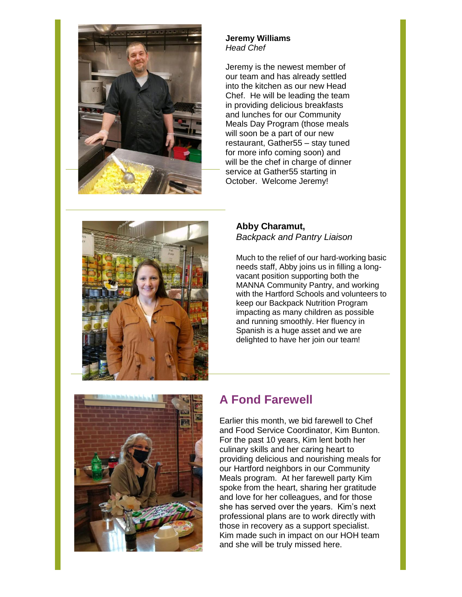

#### **Jeremy Williams** *Head Chef*

Jeremy is the newest member of our team and has already settled into the kitchen as our new Head Chef. He will be leading the team in providing delicious breakfasts and lunches for our Community Meals Day Program (those meals will soon be a part of our new restaurant, Gather55 – stay tuned for more info coming soon) and will be the chef in charge of dinner service at Gather55 starting in October. Welcome Jeremy!



#### **Abby Charamut,** *Backpack and Pantry Liaison*

Much to the relief of our hard-working basic needs staff, Abby joins us in filling a longvacant position supporting both the MANNA Community Pantry, and working with the Hartford Schools and volunteers to keep our Backpack Nutrition Program impacting as many children as possible and running smoothly. Her fluency in Spanish is a huge asset and we are delighted to have her join our team!



# **A Fond Farewell**

Earlier this month, we bid farewell to Chef and Food Service Coordinator, Kim Bunton. For the past 10 years, Kim lent both her culinary skills and her caring heart to providing delicious and nourishing meals for our Hartford neighbors in our Community Meals program. At her farewell party Kim spoke from the heart, sharing her gratitude and love for her colleagues, and for those she has served over the years. Kim's next professional plans are to work directly with those in recovery as a support specialist. Kim made such in impact on our HOH team and she will be truly missed here.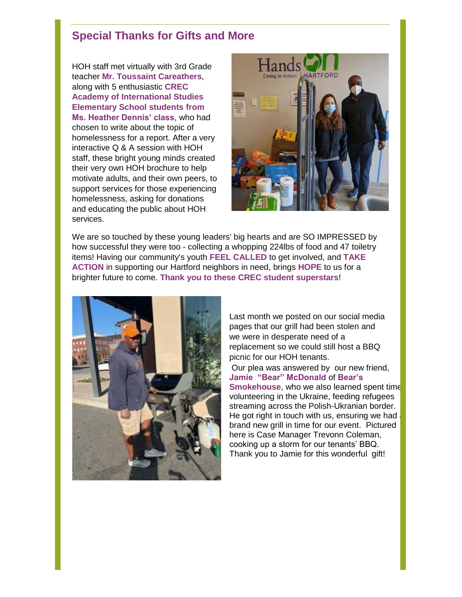## **Special Thanks for Gifts and More**

HOH staff met virtually with 3rd Grade teacher **Mr. Toussaint Careathers**, along with 5 enthusiastic **[CREC](https://www.facebook.com/InternationalDragons/?__cft__%5b0%5d=AZXLEGHffD2H7cMgS3SSsccYIljP_Z_R2qi_P5ie_OdvT-4VtygXo9WsanQuHwx-4Uw2iIThmTSEil7JHX8uUDzM7ZJJydcd6To50gvuRjZ4E_YdUqxcU6o-KNRJcJe1VoFTAQiOMi3VY3036mi7refrruHjLVhhMeuzPgeTouQTbIlQYnHYnP7_tKvE5rGU2Ts&__tn__=kK-R) [Academy of International Studies](https://www.facebook.com/InternationalDragons/?__cft__%5b0%5d=AZXLEGHffD2H7cMgS3SSsccYIljP_Z_R2qi_P5ie_OdvT-4VtygXo9WsanQuHwx-4Uw2iIThmTSEil7JHX8uUDzM7ZJJydcd6To50gvuRjZ4E_YdUqxcU6o-KNRJcJe1VoFTAQiOMi3VY3036mi7refrruHjLVhhMeuzPgeTouQTbIlQYnHYnP7_tKvE5rGU2Ts&__tn__=kK-R) Elementary School students from Ms. Heather Dennis' class**, who had chosen to write about the topic of homelessness for a report. After a very interactive Q & A session with HOH staff, these bright young minds created their very own HOH brochure to help motivate adults, and their own peers, to support services for those experiencing homelessness, asking for donations and educating the public about HOH services.



We are so touched by these young leaders' big hearts and are SO IMPRESSED by how successful they were too - collecting a whopping 224lbs of food and 47 toiletry items! Having our community's youth **FEEL CALLED** to get involved, and **TAKE ACTION** in supporting our Hartford neighbors in need, brings **HOPE** to us for a brighter future to come. **Thank you to these CREC student superstars**!



Last month we posted on our social media pages that our grill had been stolen and we were in desperate need of a replacement so we could still host a BBQ picnic for our HOH tenants.

Our plea was answered by our new friend, **Jamie "Bear" McDonald** of **Bear's Smokehouse**, who we also learned spent time volunteering in the Ukraine, feeding refugees streaming across the Polish-Ukranian border. He got right in touch with us, ensuring we had brand new grill in time for our event. Pictured here is Case Manager Trevonn Coleman, cooking up a storm for our tenants' BBQ. Thank you to Jamie for this wonderful gift!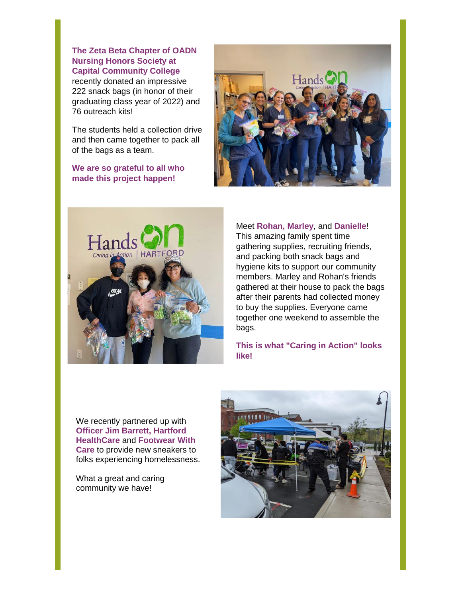**The Zeta Beta Chapter of OADN Nursing Honors Society at [Capital Community College](https://www.facebook.com/CapitalCommunityCollege?__cft__%5b0%5d=AZVukpVigDkOOkWqx0jBelxxY7IvIUtel59--EzPobYn3k0cQmZ7gGaxLg5Q9PRl8aSMv-On8t1XGXRlqXo1LUSqD_y51-l9VUlpNNkY3zkwAbI4_RSUBPOyx2z7SKJYC7KAoJbksixebRZMk1KCb18tx0h9CrTFZeUnpo_J6utLJda1y4ClvgEbV6-mgzhBW0U&__tn__=-%5dK-R)** recently donated an impressive 222 snack bags (in honor of their graduating class year of 2022) and 76 outreach kits!

The students held a collection drive and then came together to pack all of the bags as a team.

**We are so grateful to all who made this project happen!**





Meet **Rohan, Marley**, and **Danielle**! This amazing family spent time gathering supplies, recruiting friends, and packing both snack bags and hygiene kits to support our community members. Marley and Rohan's friends gathered at their house to pack the bags after their parents had collected money to buy the supplies. Everyone came together one weekend to assemble the bags.

**This is what "Caring in Action" looks like!**

We recently partnered up with **Officer Jim Barrett, Hartford HealthCare** and **Footwear With Care** to provide new sneakers to folks experiencing homelessness.

What a great and caring community we have!

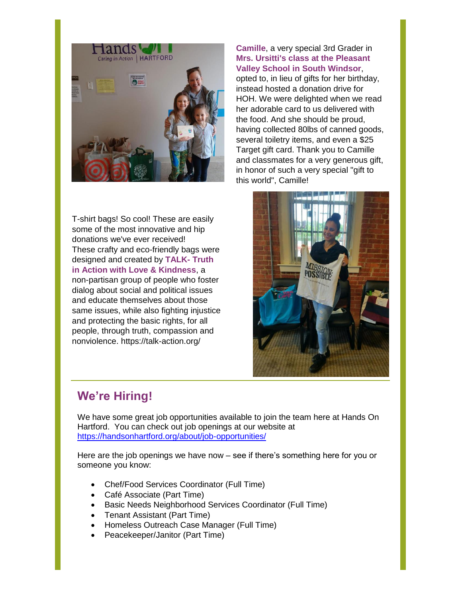

T-shirt bags! So cool! These are easily some of the most innovative and hip donations we've ever received! These crafty and eco-friendly bags were designed and created by **[TALK-](https://www.facebook.com/talk.action.ct/?__cft__%5B0%5D=AZXokTvUZXTsC_NMtwAjrXOsxuPzjsW3dHOqzvhcfAPjcSLnEe_1tP-K-xRUmhzMG2C2aMPq93ngST46rBjyAJwAsT1NDBSZxF-sGN-D9sj_g6hEXgv3Pe2wI45g7hVw7Wopo-Xm5iddEC6hD236OzYOZZ8f2S4KC3YmpXcNBe0QNZSMALYbliYniI2ldDj_XSY&__tn__=kK-R) Truth [in Action with Love & Kindness](https://www.facebook.com/talk.action.ct/?__cft__%5B0%5D=AZXokTvUZXTsC_NMtwAjrXOsxuPzjsW3dHOqzvhcfAPjcSLnEe_1tP-K-xRUmhzMG2C2aMPq93ngST46rBjyAJwAsT1NDBSZxF-sGN-D9sj_g6hEXgv3Pe2wI45g7hVw7Wopo-Xm5iddEC6hD236OzYOZZ8f2S4KC3YmpXcNBe0QNZSMALYbliYniI2ldDj_XSY&__tn__=kK-R)**, a non-partisan group of people who foster dialog about social and political issues and educate themselves about those same issues, while also fighting injustice and protecting the basic rights, for all people, through truth, compassion and nonviolence. [https://talk-action.org/](https://talk-action.org/?fbclid=IwAR0Hxfeyqpef9ZhSSUHgPnwziqrO_B2vM71OxVe2HJIs6HvpN2mKWl5qAVo)

#### **Camille**, a very special 3rd Grader in **Mrs. Ursitti's class at the [Pleasant](https://www.facebook.com/Pleasant-Valley-School-684659324966457/?__cft__%5B0%5D=AZXVJGcOXbO2XYkA_PWDURpN45oJax9kteAcJ2dAeiaiip1mFj88nHSLFWIQJMVjkhZt-qw26rVeAMBmmgDTejbt14KtSl4uiY7kXfVntz4p0cIbMunkLqWxXCPYPtJpRl39RQ9NSwh0UOl1TftwEuH8N5pbAJZZ34_N83d9fC-7c73Oq1UCPIxdxtPGYxdKj3I&__tn__=kK-R) [Valley School i](https://www.facebook.com/Pleasant-Valley-School-684659324966457/?__cft__%5B0%5D=AZXVJGcOXbO2XYkA_PWDURpN45oJax9kteAcJ2dAeiaiip1mFj88nHSLFWIQJMVjkhZt-qw26rVeAMBmmgDTejbt14KtSl4uiY7kXfVntz4p0cIbMunkLqWxXCPYPtJpRl39RQ9NSwh0UOl1TftwEuH8N5pbAJZZ34_N83d9fC-7c73Oq1UCPIxdxtPGYxdKj3I&__tn__=kK-R)n South Windsor**,

opted to, in lieu of gifts for her birthday, instead hosted a donation drive for HOH. We were delighted when we read her adorable card to us delivered with the food. And she should be proud, having collected 80lbs of canned goods, several toiletry items, and even a \$25 Target gift card. Thank you to Camille and classmates for a very generous gift, in honor of such a very special "gift to this world", Camille!



# **We're Hiring!**

We have some great job opportunities available to join the team here at Hands On Hartford. You can check out job openings at our website at <https://handsonhartford.org/about/job-opportunities/>

Here are the job openings we have now – see if there's something here for you or someone you know:

- Chef/Food Services Coordinator (Full Time)
- Café Associate (Part Time)
- Basic Needs Neighborhood Services Coordinator (Full Time)
- Tenant Assistant (Part Time)
- Homeless Outreach Case Manager (Full Time)
- Peacekeeper/Janitor (Part Time)